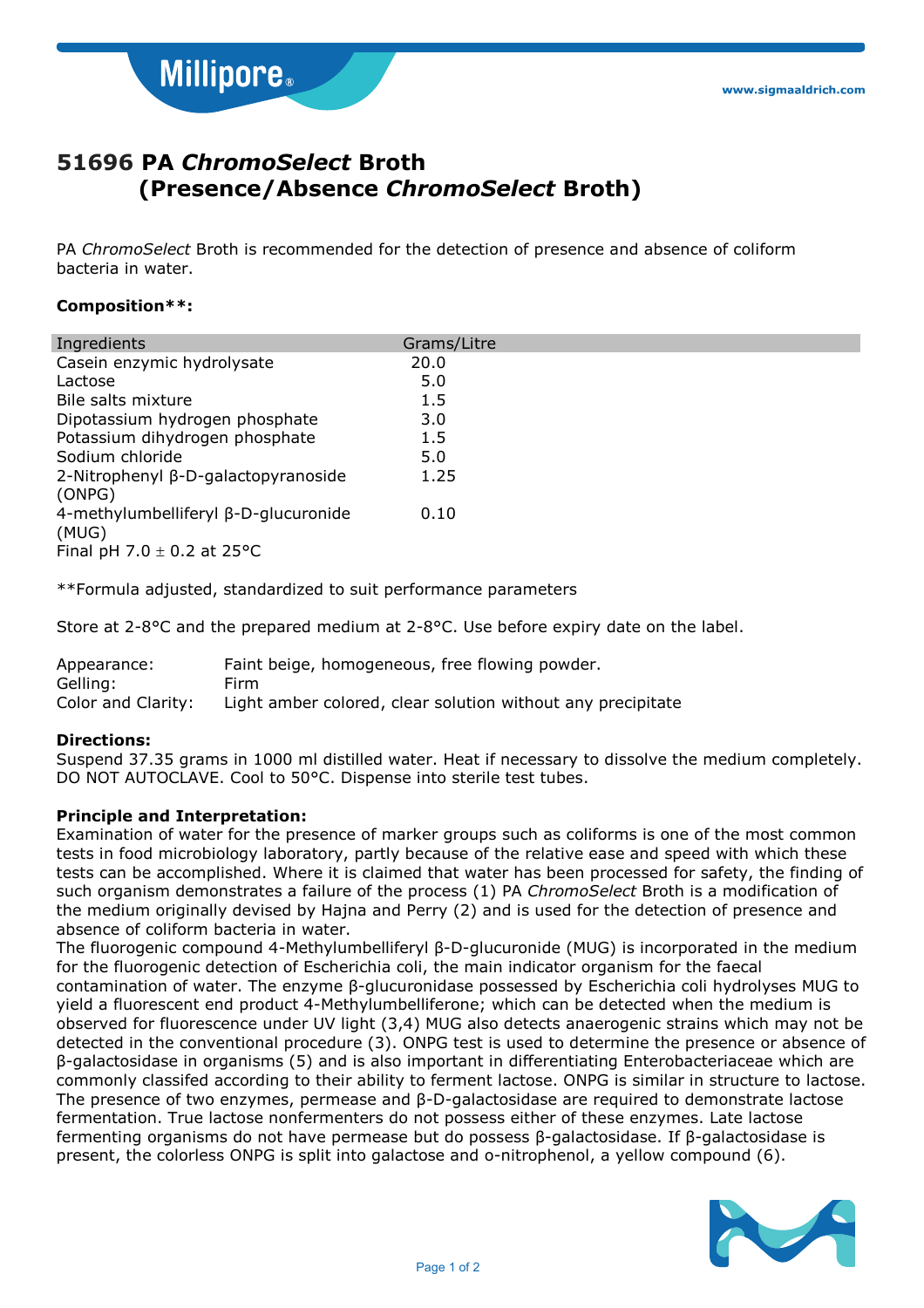**Millipore**®

# **51696 PA** *ChromoSelect* **Broth (Presence/Absence** *ChromoSelect* **Broth)**

PA *ChromoSelect* Broth is recommended for the detection of presence and absence of coliform bacteria in water.

### **Composition\*\*:**

| Ingredients                                                                      | Grams/Litre |
|----------------------------------------------------------------------------------|-------------|
| Casein enzymic hydrolysate                                                       | 20.0        |
| Lactose                                                                          | 5.0         |
| Bile salts mixture                                                               | 1.5         |
| Dipotassium hydrogen phosphate                                                   | 3.0         |
| Potassium dihydrogen phosphate                                                   | $1.5\,$     |
| Sodium chloride                                                                  | 5.0         |
| 2-Nitrophenyl β-D-galactopyranoside<br>(ONPG)                                    | 1.25        |
| 4-methylumbelliferyl β-D-glucuronide<br>(MUG)<br>Final pH 7.0 $\pm$ 0.2 at 25 °C | 0.10        |
|                                                                                  |             |

\*\*Formula adjusted, standardized to suit performance parameters

Store at 2-8°C and the prepared medium at 2-8°C. Use before expiry date on the label.

| Appearance:        | Faint beige, homogeneous, free flowing powder.              |
|--------------------|-------------------------------------------------------------|
| Gelling:           | Firm                                                        |
| Color and Clarity: | Light amber colored, clear solution without any precipitate |

### **Directions:**

Suspend 37.35 grams in 1000 ml distilled water. Heat if necessary to dissolve the medium completely. DO NOT AUTOCLAVE. Cool to 50°C. Dispense into sterile test tubes.

### **Principle and Interpretation:**

Examination of water for the presence of marker groups such as coliforms is one of the most common tests in food microbiology laboratory, partly because of the relative ease and speed with which these tests can be accomplished. Where it is claimed that water has been processed for safety, the finding of such organism demonstrates a failure of the process (1) PA *ChromoSelect* Broth is a modification of the medium originally devised by Hajna and Perry (2) and is used for the detection of presence and absence of coliform bacteria in water.

The fluorogenic compound 4-Methylumbelliferyl β-D-glucuronide (MUG) is incorporated in the medium for the fluorogenic detection of Escherichia coli, the main indicator organism for the faecal contamination of water. The enzyme β-glucuronidase possessed by Escherichia coli hydrolyses MUG to yield a fluorescent end product 4-Methylumbelliferone; which can be detected when the medium is observed for fluorescence under UV light (3,4) MUG also detects anaerogenic strains which may not be detected in the conventional procedure (3). ONPG test is used to determine the presence or absence of β-galactosidase in organisms (5) and is also important in differentiating Enterobacteriaceae which are commonly classifed according to their ability to ferment lactose. ONPG is similar in structure to lactose. The presence of two enzymes, permease and β-D-galactosidase are required to demonstrate lactose fermentation. True lactose nonfermenters do not possess either of these enzymes. Late lactose fermenting organisms do not have permease but do possess β-galactosidase. If β-galactosidase is present, the colorless ONPG is split into galactose and o-nitrophenol, a yellow compound (6).